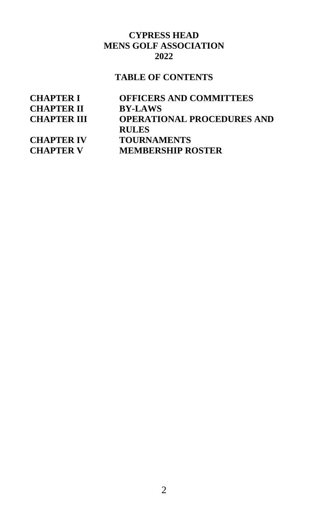### **CYPRESS HEAD MENS GOLF ASSOCIATION 2022**

## **TABLE OF CONTENTS**

| <b>CHAPTER I</b>   | <b>OFFICERS AND COMMITTEES</b>    |
|--------------------|-----------------------------------|
| <b>CHAPTER II</b>  | <b>BY-LAWS</b>                    |
| <b>CHAPTER III</b> | <b>OPERATIONAL PROCEDURES AND</b> |
|                    | <b>RULES</b>                      |
| <b>CHAPTER IV</b>  | <b>TOURNAMENTS</b>                |
| <b>CHAPTER V</b>   | <b>MEMBERSHIP ROSTER</b>          |
|                    |                                   |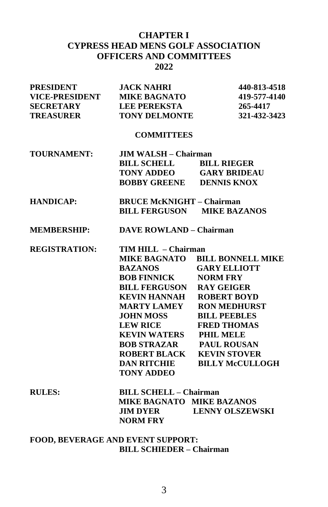#### **CHAPTER I CYPRESS HEAD MENS GOLF ASSOCIATION OFFICERS AND COMMITTEES 2022**

| <b>PRESIDENT</b>      | <b>JACK NAHRI</b>                | 440-813-4518             |
|-----------------------|----------------------------------|--------------------------|
| <b>VICE-PRESIDENT</b> | <b>MIKE BAGNATO</b>              | 419-577-4140             |
| <b>SECRETARY</b>      | <b>LEE PEREKSTA</b>              | 265-4417                 |
| <b>TREASURER</b>      | <b>TONY DELMONTE</b>             | 321-432-3423             |
|                       | <b>COMMITTEES</b>                |                          |
| <b>TOURNAMENT:</b>    | <b>JIM WALSH – Chairman</b>      |                          |
|                       | <b>BILL SCHELL</b>               | <b>BILL RIEGER</b>       |
|                       | <b>TONY ADDEO</b>                | <b>GARY BRIDEAU</b>      |
|                       | <b>BOBBY GREENE</b>              | <b>DENNIS KNOX</b>       |
| <b>HANDICAP:</b>      | <b>BRUCE McKNIGHT – Chairman</b> |                          |
|                       | <b>BILL FERGUSON</b>             | <b>MIKE BAZANOS</b>      |
| <b>MEMBERSHIP:</b>    | <b>DAVE ROWLAND - Chairman</b>   |                          |
| <b>REGISTRATION:</b>  | TIM HILL - Chairman              |                          |
|                       | <b>MIKE BAGNATO</b>              | <b>BILL BONNELL MIKE</b> |
|                       | <b>BAZANOS</b>                   | <b>GARY ELLIOTT</b>      |
|                       | <b>BOB FINNICK</b>               | <b>NORM FRY</b>          |
|                       | <b>BILL FERGUSON</b>             | <b>RAY GEIGER</b>        |
|                       | <b>KEVIN HANNAH</b>              | <b>ROBERT BOYD</b>       |
|                       | <b>MARTY LAMEY</b>               | <b>RON MEDHURST</b>      |
|                       | <b>JOHN MOSS</b>                 | <b>BILL PEEBLES</b>      |
|                       | <b>LEW RICE</b>                  | <b>FRED THOMAS</b>       |
|                       | <b>KEVIN WATERS</b>              | <b>PHIL MELE</b>         |
|                       | <b>BOB STRAZAR</b>               | <b>PAUL ROUSAN</b>       |
|                       | <b>ROBERT BLACK</b>              | <b>KEVIN STOVER</b>      |
|                       | <b>DAN RITCHIE</b>               | <b>BILLY McCULLOGH</b>   |
|                       | <b>TONY ADDEO</b>                |                          |
| <b>RULES:</b>         | <b>BILL SCHELL - Chairman</b>    |                          |
|                       | <b>MIKE BAGNATO MIKE BAZANOS</b> |                          |
|                       | <b>JIM DYER</b>                  | <b>LENNY OLSZEWSKI</b>   |
|                       | <b>NORM FRY</b>                  |                          |

#### **FOOD, BEVERAGE AND EVENT SUPPORT: BILL SCHIEDER – Chairman**